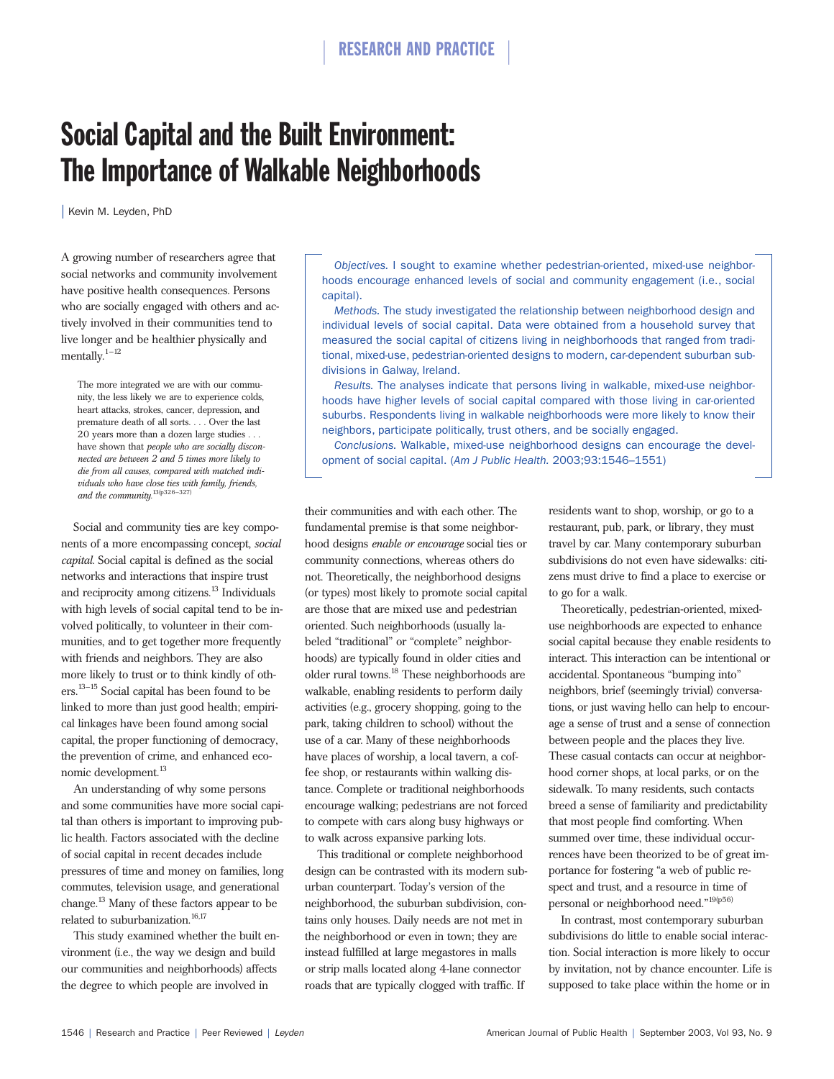# Social Capital and the Built Environment: The Importance of Walkable Neighborhoods

| Kevin M. Leyden, PhD

A growing number of researchers agree that social networks and community involvement have positive health consequences. Persons who are socially engaged with others and actively involved in their communities tend to live longer and be healthier physically and mentally. $1-12$ 

The more integrated we are with our community, the less likely we are to experience colds, heart attacks, strokes, cancer, depression, and premature death of all sorts. . . . Over the last 20 years more than a dozen large studies . . . have shown that *people who are socially disconnected are between 2 and 5 times more likely to die from all causes, compared with matched individuals who have close ties with family, friends, and the community.*13(p326–327)

Social and community ties are key components of a more encompassing concept, *social capital*. Social capital is defined as the social networks and interactions that inspire trust and reciprocity among citizens.<sup>13</sup> Individuals with high levels of social capital tend to be involved politically, to volunteer in their communities, and to get together more frequently with friends and neighbors. They are also more likely to trust or to think kindly of others.13–15 Social capital has been found to be linked to more than just good health; empirical linkages have been found among social capital, the proper functioning of democracy, the prevention of crime, and enhanced economic development.<sup>13</sup>

An understanding of why some persons and some communities have more social capital than others is important to improving public health. Factors associated with the decline of social capital in recent decades include pressures of time and money on families, long commutes, television usage, and generational change.13 Many of these factors appear to be related to suburbanization.  $^{16,17}$ 

This study examined whether the built environment (i.e., the way we design and build our communities and neighborhoods) affects the degree to which people are involved in

*Objectives.* I sought to examine whether pedestrian-oriented, mixed-use neighborhoods encourage enhanced levels of social and community engagement (i.e., social capital).

*Methods.* The study investigated the relationship between neighborhood design and individual levels of social capital. Data were obtained from a household survey that measured the social capital of citizens living in neighborhoods that ranged from traditional, mixed-use, pedestrian-oriented designs to modern, car-dependent suburban subdivisions in Galway, Ireland.

*Results.* The analyses indicate that persons living in walkable, mixed-use neighborhoods have higher levels of social capital compared with those living in car-oriented suburbs. Respondents living in walkable neighborhoods were more likely to know their neighbors, participate politically, trust others, and be socially engaged.

*Conclusions.* Walkable, mixed-use neighborhood designs can encourage the development of social capital. (*Am J Public Health.* 2003;93:1546–1551)

their communities and with each other. The fundamental premise is that some neighborhood designs *enable or encourage* social ties or community connections, whereas others do not. Theoretically, the neighborhood designs (or types) most likely to promote social capital are those that are mixed use and pedestrian oriented. Such neighborhoods (usually labeled "traditional" or "complete" neighborhoods) are typically found in older cities and older rural towns.<sup>18</sup> These neighborhoods are walkable, enabling residents to perform daily activities (e.g., grocery shopping, going to the park, taking children to school) without the use of a car. Many of these neighborhoods have places of worship, a local tavern, a coffee shop, or restaurants within walking distance. Complete or traditional neighborhoods encourage walking; pedestrians are not forced to compete with cars along busy highways or to walk across expansive parking lots.

This traditional or complete neighborhood design can be contrasted with its modern suburban counterpart. Today's version of the neighborhood, the suburban subdivision, contains only houses. Daily needs are not met in the neighborhood or even in town; they are instead fulfilled at large megastores in malls or strip malls located along 4-lane connector roads that are typically clogged with traffic. If

residents want to shop, worship, or go to a restaurant, pub, park, or library, they must travel by car. Many contemporary suburban subdivisions do not even have sidewalks: citizens must drive to find a place to exercise or to go for a walk.

Theoretically, pedestrian-oriented, mixeduse neighborhoods are expected to enhance social capital because they enable residents to interact. This interaction can be intentional or accidental. Spontaneous "bumping into" neighbors, brief (seemingly trivial) conversations, or just waving hello can help to encourage a sense of trust and a sense of connection between people and the places they live. These casual contacts can occur at neighborhood corner shops, at local parks, or on the sidewalk. To many residents, such contacts breed a sense of familiarity and predictability that most people find comforting. When summed over time, these individual occurrences have been theorized to be of great importance for fostering "a web of public respect and trust, and a resource in time of personal or neighborhood need."19(p56)

In contrast, most contemporary suburban subdivisions do little to enable social interaction. Social interaction is more likely to occur by invitation, not by chance encounter. Life is supposed to take place within the home or in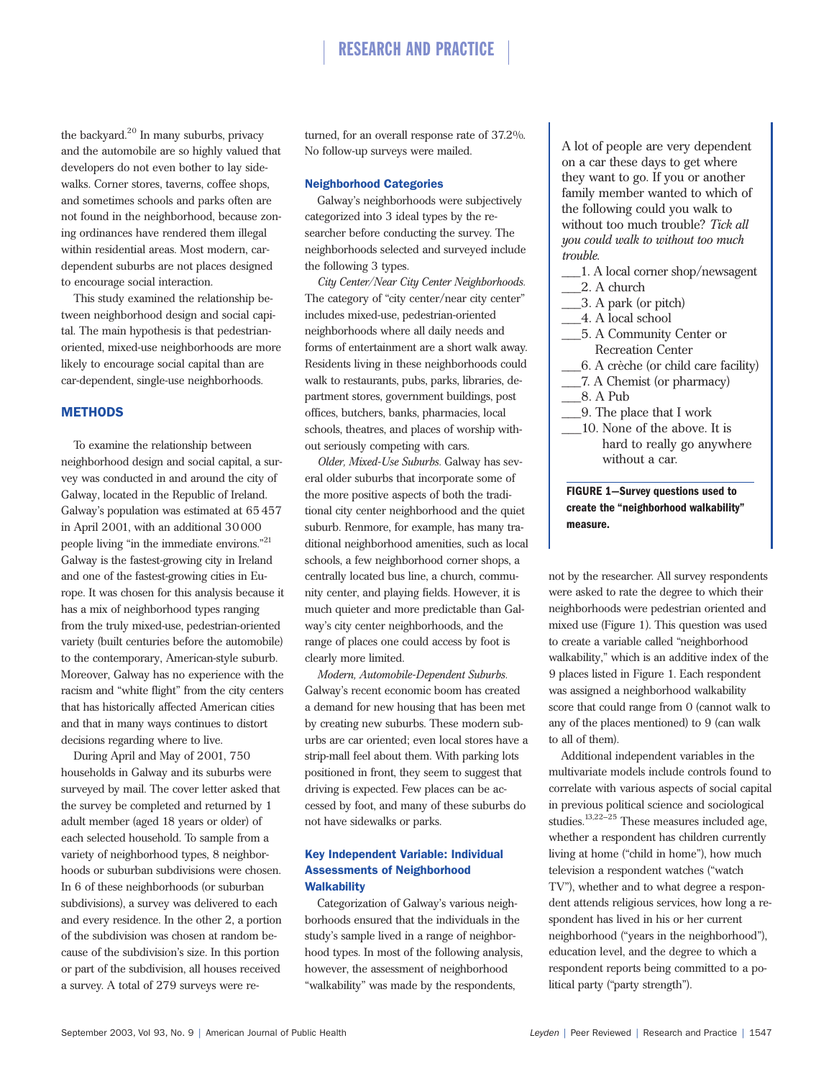the backyard. $20$  In many suburbs, privacy and the automobile are so highly valued that developers do not even bother to lay sidewalks. Corner stores, taverns, coffee shops, and sometimes schools and parks often are not found in the neighborhood, because zoning ordinances have rendered them illegal within residential areas. Most modern, cardependent suburbs are not places designed to encourage social interaction.

This study examined the relationship between neighborhood design and social capital. The main hypothesis is that pedestrianoriented, mixed-use neighborhoods are more likely to encourage social capital than are car-dependent, single-use neighborhoods.

### **METHODS**

To examine the relationship between neighborhood design and social capital, a survey was conducted in and around the city of Galway, located in the Republic of Ireland. Galway's population was estimated at 65457 in April 2001, with an additional 30000 people living "in the immediate environs."<sup>21</sup> Galway is the fastest-growing city in Ireland and one of the fastest-growing cities in Europe. It was chosen for this analysis because it has a mix of neighborhood types ranging from the truly mixed-use, pedestrian-oriented variety (built centuries before the automobile) to the contemporary, American-style suburb. Moreover, Galway has no experience with the racism and "white flight" from the city centers that has historically affected American cities and that in many ways continues to distort decisions regarding where to live.

During April and May of 2001, 750 households in Galway and its suburbs were surveyed by mail. The cover letter asked that the survey be completed and returned by 1 adult member (aged 18 years or older) of each selected household. To sample from a variety of neighborhood types, 8 neighborhoods or suburban subdivisions were chosen. In 6 of these neighborhoods (or suburban subdivisions), a survey was delivered to each and every residence. In the other 2, a portion of the subdivision was chosen at random because of the subdivision's size. In this portion or part of the subdivision, all houses received a survey. A total of 279 surveys were returned, for an overall response rate of 37.2%. No follow-up surveys were mailed.

#### Neighborhood Categories

Galway's neighborhoods were subjectively categorized into 3 ideal types by the researcher before conducting the survey. The neighborhoods selected and surveyed include the following 3 types.

*City Center/Near City Center Neighborhoods.* The category of "city center/near city center" includes mixed-use, pedestrian-oriented neighborhoods where all daily needs and forms of entertainment are a short walk away. Residents living in these neighborhoods could walk to restaurants, pubs, parks, libraries, department stores, government buildings, post offices, butchers, banks, pharmacies, local schools, theatres, and places of worship without seriously competing with cars.

*Older, Mixed-Use Suburbs.* Galway has several older suburbs that incorporate some of the more positive aspects of both the traditional city center neighborhood and the quiet suburb. Renmore, for example, has many traditional neighborhood amenities, such as local schools, a few neighborhood corner shops, a centrally located bus line, a church, community center, and playing fields. However, it is much quieter and more predictable than Galway's city center neighborhoods, and the range of places one could access by foot is clearly more limited.

*Modern, Automobile-Dependent Suburbs.* Galway's recent economic boom has created a demand for new housing that has been met by creating new suburbs. These modern suburbs are car oriented; even local stores have a strip-mall feel about them. With parking lots positioned in front, they seem to suggest that driving is expected. Few places can be accessed by foot, and many of these suburbs do not have sidewalks or parks.

## Key Independent Variable: Individual Assessments of Neighborhood **Walkability**

Categorization of Galway's various neighborhoods ensured that the individuals in the study's sample lived in a range of neighborhood types. In most of the following analysis, however, the assessment of neighborhood "walkability" was made by the respondents,

A lot of people are very dependent on a car these days to get where they want to go. If you or another family member wanted to which of the following could you walk to without too much trouble? *Tick all you could walk to without too much trouble*.

\_\_\_1. A local corner shop/newsagent \_\_\_2. A church \_\_\_3. A park (or pitch) \_\_\_4. A local school \_\_\_5. A Community Center or Recreation Center \_\_\_6. A crèche (or child care facility) \_\_\_7. A Chemist (or pharmacy)  $\_8.$  A Pub \_\_\_9. The place that I work \_\_\_10. None of the above. It is hard to really go anywhere without a car.

# **FIGURE 1—Survey questions used to create the "neighborhood walkability" measure.**

not by the researcher. All survey respondents were asked to rate the degree to which their neighborhoods were pedestrian oriented and mixed use (Figure 1). This question was used to create a variable called "neighborhood walkability," which is an additive index of the 9 places listed in Figure 1. Each respondent was assigned a neighborhood walkability score that could range from 0 (cannot walk to any of the places mentioned) to 9 (can walk to all of them).

Additional independent variables in the multivariate models include controls found to correlate with various aspects of social capital in previous political science and sociological studies. $^{13,22-25}$  These measures included age, whether a respondent has children currently living at home ("child in home"), how much television a respondent watches ("watch TV"), whether and to what degree a respondent attends religious services, how long a respondent has lived in his or her current neighborhood ("years in the neighborhood"), education level, and the degree to which a respondent reports being committed to a political party ("party strength").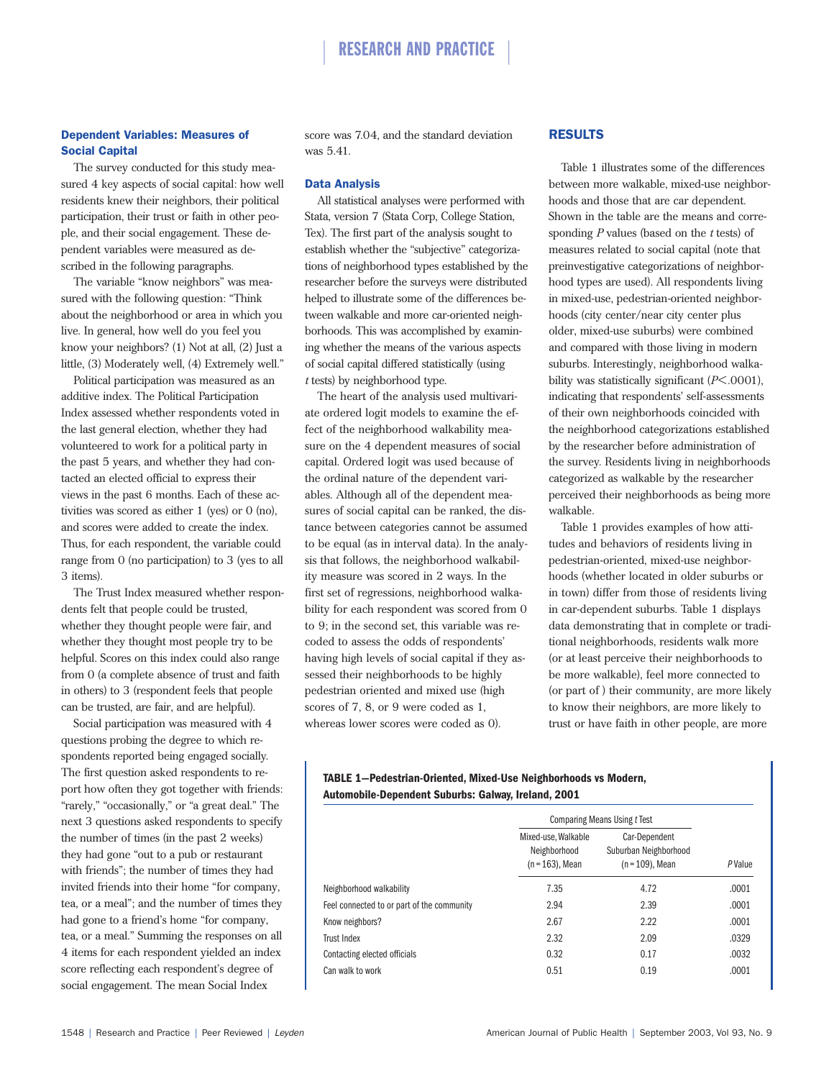# RESEARCH AND PRACTICE

### Dependent Variables: Measures of Social Capital

The survey conducted for this study measured 4 key aspects of social capital: how well residents knew their neighbors, their political participation, their trust or faith in other people, and their social engagement. These dependent variables were measured as described in the following paragraphs.

The variable "know neighbors" was measured with the following question: "Think about the neighborhood or area in which you live. In general, how well do you feel you know your neighbors? (1) Not at all, (2) Just a little, (3) Moderately well, (4) Extremely well."

Political participation was measured as an additive index. The Political Participation Index assessed whether respondents voted in the last general election, whether they had volunteered to work for a political party in the past 5 years, and whether they had contacted an elected official to express their views in the past 6 months. Each of these activities was scored as either 1 (yes) or 0 (no), and scores were added to create the index. Thus, for each respondent, the variable could range from 0 (no participation) to 3 (yes to all 3 items).

The Trust Index measured whether respondents felt that people could be trusted, whether they thought people were fair, and whether they thought most people try to be helpful. Scores on this index could also range from 0 (a complete absence of trust and faith in others) to 3 (respondent feels that people can be trusted, are fair, and are helpful).

Social participation was measured with 4 questions probing the degree to which respondents reported being engaged socially. The first question asked respondents to report how often they got together with friends: "rarely," "occasionally," or "a great deal." The next 3 questions asked respondents to specify the number of times (in the past 2 weeks) they had gone "out to a pub or restaurant with friends"; the number of times they had invited friends into their home "for company, tea, or a meal"; and the number of times they had gone to a friend's home "for company, tea, or a meal." Summing the responses on all 4 items for each respondent yielded an index score reflecting each respondent's degree of social engagement. The mean Social Index

score was 7.04, and the standard deviation was 5.41.

#### Data Analysis

All statistical analyses were performed with Stata, version 7 (Stata Corp, College Station, Tex). The first part of the analysis sought to establish whether the "subjective" categorizations of neighborhood types established by the researcher before the surveys were distributed helped to illustrate some of the differences between walkable and more car-oriented neighborhoods. This was accomplished by examining whether the means of the various aspects of social capital differed statistically (using *t* tests) by neighborhood type.

The heart of the analysis used multivariate ordered logit models to examine the effect of the neighborhood walkability measure on the 4 dependent measures of social capital. Ordered logit was used because of the ordinal nature of the dependent variables. Although all of the dependent measures of social capital can be ranked, the distance between categories cannot be assumed to be equal (as in interval data). In the analysis that follows, the neighborhood walkability measure was scored in 2 ways. In the first set of regressions, neighborhood walkability for each respondent was scored from 0 to 9; in the second set, this variable was recoded to assess the odds of respondents' having high levels of social capital if they assessed their neighborhoods to be highly pedestrian oriented and mixed use (high scores of 7, 8, or 9 were coded as 1, whereas lower scores were coded as 0).

## RESULTS

Table 1 illustrates some of the differences between more walkable, mixed-use neighborhoods and those that are car dependent. Shown in the table are the means and corresponding *P* values (based on the *t* tests) of measures related to social capital (note that preinvestigative categorizations of neighborhood types are used). All respondents living in mixed-use, pedestrian-oriented neighborhoods (city center/near city center plus older, mixed-use suburbs) were combined and compared with those living in modern suburbs. Interestingly, neighborhood walkability was statistically significant (*P*<.0001), indicating that respondents' self-assessments of their own neighborhoods coincided with the neighborhood categorizations established by the researcher before administration of the survey. Residents living in neighborhoods categorized as walkable by the researcher perceived their neighborhoods as being more walkable.

Table 1 provides examples of how attitudes and behaviors of residents living in pedestrian-oriented, mixed-use neighborhoods (whether located in older suburbs or in town) differ from those of residents living in car-dependent suburbs. Table 1 displays data demonstrating that in complete or traditional neighborhoods, residents walk more (or at least perceive their neighborhoods to be more walkable), feel more connected to (or part of ) their community, are more likely to know their neighbors, are more likely to trust or have faith in other people, are more

**TABLE 1—Pedestrian-Oriented, Mixed-Use Neighborhoods vs Modern, Automobile-Dependent Suburbs: Galway, Ireland, 2001**

|                                            | Comparing Means Using t Test                              |                                                              |         |
|--------------------------------------------|-----------------------------------------------------------|--------------------------------------------------------------|---------|
|                                            | Mixed-use, Walkable<br>Neighborhood<br>$(n = 163)$ , Mean | Car-Dependent<br>Suburban Neighborhood<br>$(n = 109)$ , Mean | P Value |
| Neighborhood walkability                   | 7.35                                                      | 4.72                                                         | .0001   |
| Feel connected to or part of the community | 2.94                                                      | 2.39                                                         | .0001   |
| Know neighbors?                            | 2.67                                                      | 2.22                                                         | .0001   |
| Trust Index                                | 2.32                                                      | 2.09                                                         | .0329   |
| Contacting elected officials               | 0.32                                                      | 0.17                                                         | .0032   |
| Can walk to work                           | 0.51                                                      | 0.19                                                         | .0001   |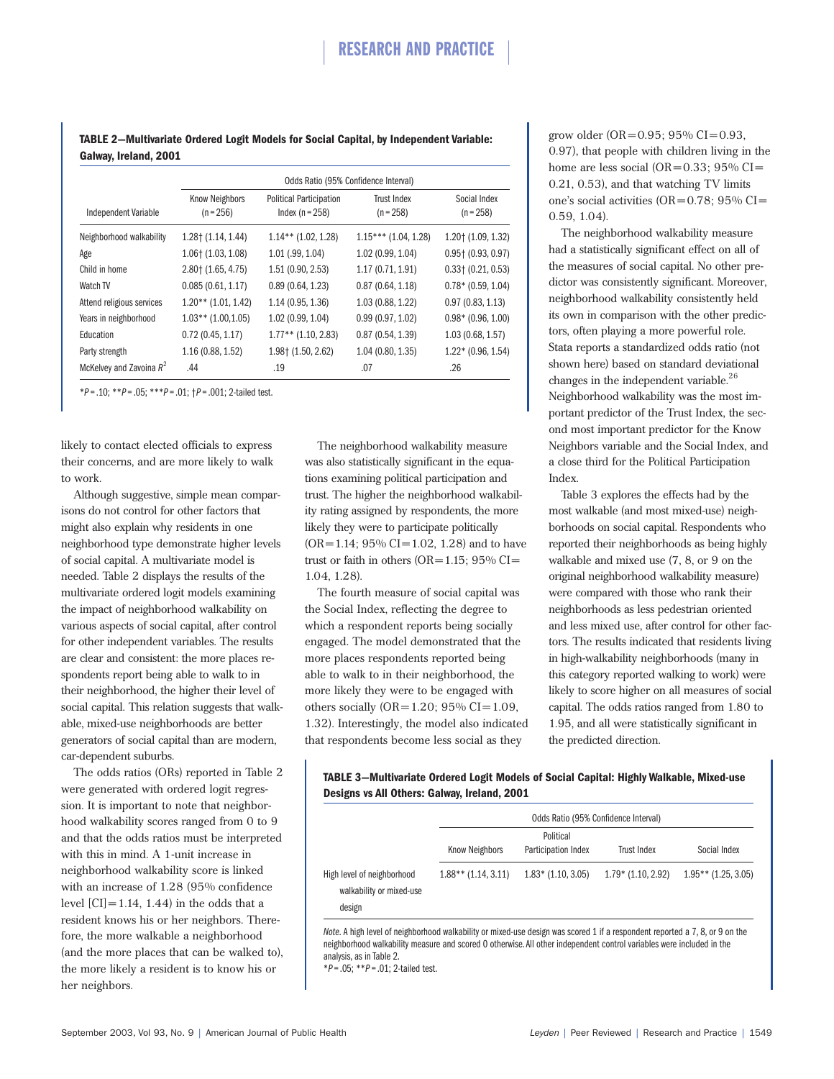**TABLE 2—Multivariate Ordered Logit Models for Social Capital, by Independent Variable: Galway, Ireland, 2001**

| Independent Variable       | Odds Ratio (95% Confidence Interval) |                                                       |                            |                             |  |
|----------------------------|--------------------------------------|-------------------------------------------------------|----------------------------|-----------------------------|--|
|                            | <b>Know Neighbors</b><br>$(n = 256)$ | <b>Political Participation</b><br>Index ( $n = 258$ ) | Trust Index<br>$(n = 258)$ | Social Index<br>$(n = 258)$ |  |
| Neighborhood walkability   | $1.28$ $(1.14, 1.44)$                | $1.14**$ (1.02, 1.28)                                 | $1.15***(1.04, 1.28)$      | $1.20$ $(1.09, 1.32)$       |  |
| Age                        | $1.06$ † $(1.03, 1.08)$              | $1.01$ $(.99, 1.04)$                                  | 1.02(0.99, 1.04)           | $0.95$ † (0.93, 0.97)       |  |
| Child in home              | $2.80$ † $(1.65, 4.75)$              | 1.51 (0.90, 2.53)                                     | 1.17(0.71, 1.91)           | $0.33$ $(0.21, 0.53)$       |  |
| Watch TV                   | 0.085(0.61, 1.17)                    | 0.89(0.64, 1.23)                                      | 0.87(0.64, 1.18)           | $0.78*$ (0.59, 1.04)        |  |
| Attend religious services  | $1.20**$ (1.01, 1.42)                | 1.14(0.95, 1.36)                                      | 1.03 (0.88, 1.22)          | 0.97(0.83, 1.13)            |  |
| Years in neighborhood      | $1.03**$ (1.00,1.05)                 | 1.02(0.99, 1.04)                                      | 0.99(0.97, 1.02)           | $0.98*$ (0.96, 1.00)        |  |
| Education                  | 0.72(0.45, 1.17)                     | $1.77**$ (1.10, 2.83)                                 | 0.87(0.54, 1.39)           | 1.03(0.68, 1.57)            |  |
| Party strength             | 1.16 (0.88, 1.52)                    | 1.98† (1.50, 2.62)                                    | 1.04(0.80, 1.35)           | $1.22*(0.96, 1.54)$         |  |
| McKelvey and Zavoina $R^2$ | .44                                  | .19                                                   | .07                        | .26                         |  |

\**P* = .10; \*\**P* = .05; \*\*\**P* = .01; †*P* = .001; 2-tailed test.

likely to contact elected officials to express their concerns, and are more likely to walk to work.

Although suggestive, simple mean comparisons do not control for other factors that might also explain why residents in one neighborhood type demonstrate higher levels of social capital. A multivariate model is needed. Table 2 displays the results of the multivariate ordered logit models examining the impact of neighborhood walkability on various aspects of social capital, after control for other independent variables. The results are clear and consistent: the more places respondents report being able to walk to in their neighborhood, the higher their level of social capital. This relation suggests that walkable, mixed-use neighborhoods are better generators of social capital than are modern, car-dependent suburbs.

The odds ratios (ORs) reported in Table 2 were generated with ordered logit regression. It is important to note that neighborhood walkability scores ranged from 0 to 9 and that the odds ratios must be interpreted with this in mind. A 1-unit increase in neighborhood walkability score is linked with an increase of 1.28 (95% confidence level  $\text{[CI]} = 1.14, 1.44$  in the odds that a resident knows his or her neighbors. Therefore, the more walkable a neighborhood (and the more places that can be walked to), the more likely a resident is to know his or her neighbors.

The neighborhood walkability measure was also statistically significant in the equations examining political participation and trust. The higher the neighborhood walkability rating assigned by respondents, the more likely they were to participate politically  $(OR=1.14; 95\% CI=1.02, 1.28)$  and to have trust or faith in others  $(OR = 1.15; 95\% CI =$ 1.04, 1.28).

The fourth measure of social capital was the Social Index, reflecting the degree to which a respondent reports being socially engaged. The model demonstrated that the more places respondents reported being able to walk to in their neighborhood, the more likely they were to be engaged with others socially  $(OR = 1.20; 95\% CI = 1.09,$ 1.32). Interestingly, the model also indicated that respondents become less social as they

grow older (OR =  $0.95$ ; 95% CI =  $0.93$ , 0.97), that people with children living in the home are less social (OR =  $0.33$ ; 95% CI = 0.21, 0.53), and that watching TV limits one's social activities (OR =  $0.78$ ; 95% CI = 0.59, 1.04).

The neighborhood walkability measure had a statistically significant effect on all of the measures of social capital. No other predictor was consistently significant. Moreover, neighborhood walkability consistently held its own in comparison with the other predictors, often playing a more powerful role. Stata reports a standardized odds ratio (not shown here) based on standard deviational changes in the independent variable.<sup>26</sup> Neighborhood walkability was the most important predictor of the Trust Index, the second most important predictor for the Know Neighbors variable and the Social Index, and a close third for the Political Participation Index.

Table 3 explores the effects had by the most walkable (and most mixed-use) neighborhoods on social capital. Respondents who reported their neighborhoods as being highly walkable and mixed use (7, 8, or 9 on the original neighborhood walkability measure) were compared with those who rank their neighborhoods as less pedestrian oriented and less mixed use, after control for other factors. The results indicated that residents living in high-walkability neighborhoods (many in this category reported walking to work) were likely to score higher on all measures of social capital. The odds ratios ranged from 1.80 to 1.95, and all were statistically significant in the predicted direction.

**TABLE 3—Multivariate Ordered Logit Models of Social Capital: Highly Walkable, Mixed-use Designs vs All Others: Galway, Ireland, 2001**

|                                                                  | Odds Ratio (95% Confidence Interval) |                                  |                      |                       |
|------------------------------------------------------------------|--------------------------------------|----------------------------------|----------------------|-----------------------|
|                                                                  | <b>Know Neighbors</b>                | Political<br>Participation Index | Trust Index          | Social Index          |
| High level of neighborhood<br>walkability or mixed-use<br>design | $1.88**$ (1.14, 3.11)                | $1.83*$ (1.10, 3.05)             | $1.79*$ (1.10, 2.92) | $1.95**$ (1.25, 3.05) |

*Note.*A high level of neighborhood walkability or mixed-use design was scored 1 if a respondent reported a 7, 8, or 9 on the neighborhood walkability measure and scored 0 otherwise. All other independent control variables were included in the analysis, as in Table 2.

\**P* = .05; \*\**P* = .01; 2-tailed test.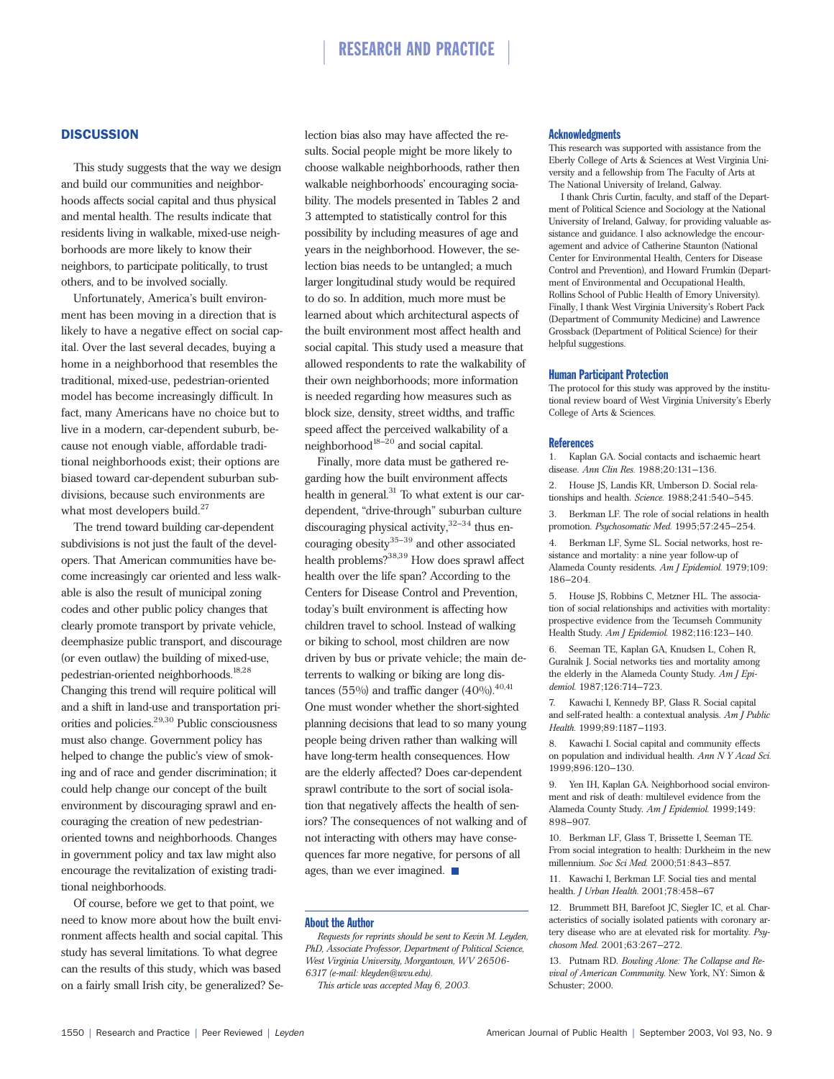# RESEARCH AND PRACTICE

### **DISCUSSION**

This study suggests that the way we design and build our communities and neighborhoods affects social capital and thus physical and mental health. The results indicate that residents living in walkable, mixed-use neighborhoods are more likely to know their neighbors, to participate politically, to trust others, and to be involved socially.

Unfortunately, America's built environment has been moving in a direction that is likely to have a negative effect on social capital. Over the last several decades, buying a home in a neighborhood that resembles the traditional, mixed-use, pedestrian-oriented model has become increasingly difficult. In fact, many Americans have no choice but to live in a modern, car-dependent suburb, because not enough viable, affordable traditional neighborhoods exist; their options are biased toward car-dependent suburban subdivisions, because such environments are what most developers build.<sup>27</sup>

The trend toward building car-dependent subdivisions is not just the fault of the developers. That American communities have become increasingly car oriented and less walkable is also the result of municipal zoning codes and other public policy changes that clearly promote transport by private vehicle, deemphasize public transport, and discourage (or even outlaw) the building of mixed-use, pedestrian-oriented neighborhoods.18,28 Changing this trend will require political will and a shift in land-use and transportation priorities and policies.29,30 Public consciousness must also change. Government policy has helped to change the public's view of smoking and of race and gender discrimination; it could help change our concept of the built environment by discouraging sprawl and encouraging the creation of new pedestrianoriented towns and neighborhoods. Changes in government policy and tax law might also encourage the revitalization of existing traditional neighborhoods.

Of course, before we get to that point, we need to know more about how the built environment affects health and social capital. This study has several limitations. To what degree can the results of this study, which was based on a fairly small Irish city, be generalized? Selection bias also may have affected the results. Social people might be more likely to choose walkable neighborhoods, rather then walkable neighborhoods' encouraging sociability. The models presented in Tables 2 and 3 attempted to statistically control for this possibility by including measures of age and years in the neighborhood. However, the selection bias needs to be untangled; a much larger longitudinal study would be required to do so. In addition, much more must be learned about which architectural aspects of the built environment most affect health and social capital. This study used a measure that allowed respondents to rate the walkability of their own neighborhoods; more information is needed regarding how measures such as block size, density, street widths, and traffic speed affect the perceived walkability of a neighborhood<sup>18–20</sup> and social capital.

Finally, more data must be gathered regarding how the built environment affects health in general.<sup>31</sup> To what extent is our cardependent, "drive-through" suburban culture discouraging physical activity, $32-34$  thus encouraging obesity $35-39$  and other associated health problems?38,39 How does sprawl affect health over the life span? According to the Centers for Disease Control and Prevention, today's built environment is affecting how children travel to school. Instead of walking or biking to school, most children are now driven by bus or private vehicle; the main deterrents to walking or biking are long distances (55%) and traffic danger (40%).<sup>40,41</sup> One must wonder whether the short-sighted planning decisions that lead to so many young people being driven rather than walking will have long-term health consequences. How are the elderly affected? Does car-dependent sprawl contribute to the sort of social isolation that negatively affects the health of seniors? The consequences of not walking and of not interacting with others may have consequences far more negative, for persons of all ages, than we ever imagined.

#### About the Author

*Requests for reprints should be sent to Kevin M. Leyden, PhD, Associate Professor, Department of Political Science, West Virginia University, Morgantown, WV 26506- 6317 (e-mail: kleyden@wvu.edu).*

*This article was accepted May 6, 2003.*

#### Acknowledgments

This research was supported with assistance from the Eberly College of Arts & Sciences at West Virginia University and a fellowship from The Faculty of Arts at The National University of Ireland, Galway.

I thank Chris Curtin, faculty, and staff of the Department of Political Science and Sociology at the National University of Ireland, Galway, for providing valuable assistance and guidance. I also acknowledge the encouragement and advice of Catherine Staunton (National Center for Environmental Health, Centers for Disease Control and Prevention), and Howard Frumkin (Department of Environmental and Occupational Health, Rollins School of Public Health of Emory University). Finally, I thank West Virginia University's Robert Pack (Department of Community Medicine) and Lawrence Grossback (Department of Political Science) for their helpful suggestions.

#### Human Participant Protection

The protocol for this study was approved by the institutional review board of West Virginia University's Eberly College of Arts & Sciences.

#### **References**

1. Kaplan GA. Social contacts and ischaemic heart disease. *Ann Clin Res.* 1988;20:131–136.

2. House JS, Landis KR, Umberson D. Social relationships and health. *Science.* 1988;241:540–545.

3. Berkman LF. The role of social relations in health promotion. *Psychosomatic Med.* 1995;57:245–254.

4. Berkman LF, Syme SL. Social networks, host resistance and mortality: a nine year follow-up of Alameda County residents. *Am J Epidemiol.* 1979;109: 186–204.

5. House JS, Robbins C, Metzner HL. The association of social relationships and activities with mortality: prospective evidence from the Tecumseh Community Health Study. *Am J Epidemiol.* 1982;116:123–140.

6. Seeman TE, Kaplan GA, Knudsen L, Cohen R, Guralnik J. Social networks ties and mortality among the elderly in the Alameda County Study. *Am J Epidemiol.* 1987;126:714–723.

7. Kawachi I, Kennedy BP, Glass R. Social capital and self-rated health: a contextual analysis. *Am J Public Health.* 1999;89:1187–1193.

8. Kawachi I. Social capital and community effects on population and individual health. *Ann N Y Acad Sci.* 1999;896:120–130.

9. Yen IH, Kaplan GA. Neighborhood social environment and risk of death: multilevel evidence from the Alameda County Study. *Am J Epidemiol.* 1999;149: 898–907.

10. Berkman LF, Glass T, Brissette I, Seeman TE. From social integration to health: Durkheim in the new millennium. *Soc Sci Med.* 2000;51:843–857.

11. Kawachi I, Berkman LF. Social ties and mental health. *J Urban Health.* 2001;78:458–67

12. Brummett BH, Barefoot JC, Siegler IC, et al. Characteristics of socially isolated patients with coronary artery disease who are at elevated risk for mortality. *Psychosom Med.* 2001;63:267–272.

13. Putnam RD. *Bowling Alone: The Collapse and Revival of American Community.* New York, NY: Simon & Schuster; 2000.